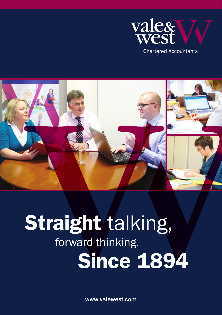



# forward thinking. Since 1894 **Straight talking,**

www.valewest.com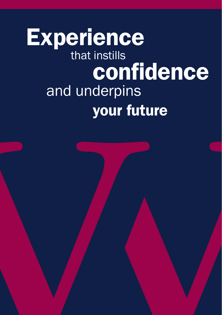## that instills and underpins your future **Experience** confidence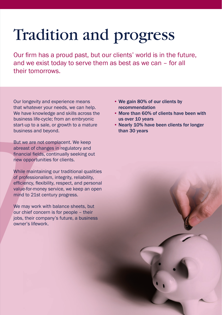### Tradition and progress

Our firm has a proud past, but our clients' world is in the future, and we exist today to serve them as best as we can – for all their tomorrows.

Our longevity and experience means that whatever your needs, we can help. We have knowledge and skills across the business life-cycle; from an embryonic start-up to a sale, or growth to a mature business and beyond.

But we are not complacent. We keep abreast of changes in regulatory and financial fields, continually seeking out new opportunities for clients.

While maintaining our traditional qualities of professionalism, integrity, reliability, efficiency, flexibility, respect, and personal value-for-money service, we keep an open mind to 21st century progress.

We may work with balance sheets, but our chief concern is for people – their jobs, their company's future, a business owner's lifework.

- We gain 80% of our clients by recommendation
- More than 60% of clients have been with us over 10 years
- Nearly 10% have been clients for longer than 30 years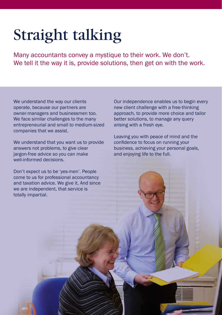### Straight talking

Many accountants convey a mystique to their work. We don't. We tell it the way it is, provide solutions, then get on with the work.

We understand the way our clients operate, because our partners are owner-managers and businessmen too. We face similar challenges to the many entrepreneurial and small to medium-sized companies that we assist.

We understand that you want us to provide answers not problems, to give clear jargon-free advice so you can make well-informed decisions.

Don't expect us to be 'yes-men'. People come to us for professional accountancy and taxation advice. We give it. And since we are independent, that service is totally impartial.

Our independence enables us to begin every new client challenge with a free-thinking approach, to provide more choice and tailor better solutions, to manage any query arising with a fresh eye.

Leaving you with peace of mind and the confidence to focus on running your business, achieving your personal goals, and enjoying life to the full.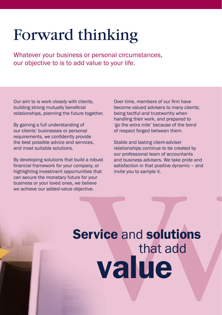### Forward thinking

Whatever your business or personal circumstances, our objective to is to add value to your life.

Our aim to is work closely with clients, building strong mutually beneficial relationships, planning the future together.

By gaining a full understanding of our clients' businesses or personal requirements, we confidently provide the best possible advice and services, and most suitable solutions.

By developing solutions that build a robust financial framework for your company, or highlighting investment opportunities that can secure the monetary future for your business or your loved ones, we believe we achieve our added-value objective.

Over time, members of our firm have become valued advisers to many clients; being tactful and trustworthy when handling their work, and prepared to 'go the extra mile' because of the bond of respect forged between them.

Stable and lasting client-adviser relationships continue to be created by our professional team of accountants and business advisers. We take pride and satisfaction in that positive dynamic – and invite you to sample it.

# Service and solutions that add value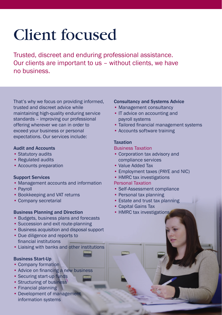### Client focused

Trusted, discreet and enduring professional assistance. Our clients are important to us – without clients, we have no business.

That's why we focus on providing informed, trusted and discreet advice while maintaining high-quality enduring service standards – improving our professional offering wherever we can in order to exceed your business or personal expectations. Our services include:

#### Audit and Accounts

- Statutory audits
- Regulated audits
- Accounts preparation

#### Support Services

- Management accounts and information
- Payroll
- Bookkeeping and VAT returns
- Company secretarial

#### Business Planning and Direction

- Budgets, business plans and forecasts
- Succession and exit route-planning
- Business acquisition and disposal support
- Due diligence and reports to financial institutions
- Liaising with banks and other institutions

#### Business Start-Up

- Company formation
- Advice on financing a new business
- Securing start-up funds
- Structuring of business
- Financial planning
- Development of management information systems

#### Consultancy and Systems Advice

- Management consultancy
- IT advice on accounting and payroll systems
- Tailored financial management systems
- Accounts software training

#### **Taxation**

#### Business Taxation

- Corporation tax advisory and compliance services
- Value Added Tax
- Employment taxes (PAYE and NIC)
- HMRC tax investigations

#### Personal Taxation

- Self-Assessment compliance
- Personal tax planning
- Estate and trust tax planning
- Capital Gains Tax
- HMRC tax investigations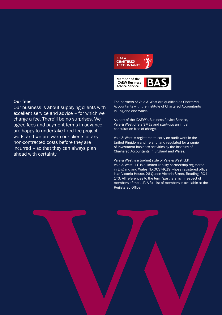

#### Our fees

Our business is about supplying clients with excellent service and advice – for which we charge a fee. There'll be no surprises. We agree fees and payment terms in advance, are happy to undertake fixed fee project work, and we pre-warn our clients of any non-contracted costs before they are incurred – so that they can always plan ahead with certainty.

The partners of Vale & West are qualified as Chartered Accountants with the Institute of Chartered Accountants in England and Wales.

As part of the ICAEW's Business Advice Service, Vale & West offers SMEs and start-ups an initial consultation free of charge.

Vale & West is registered to carry on audit work in the United Kingdom and Ireland, and regulated for a range of investment business activities by the Institute of Chartered Accountants in England and Wales.

Vale & West is a trading style of Vale & West LLP. Vale & West LLP is a limited liability partnership registered in England and Wales No.OC374619 whose registered office is at Victoria House, 26 Queen Victoria Street, Reading, RG1 1TG. All references to the term 'partners' is in respect of members of the LLP. A full list of members is available at the Registered Office.